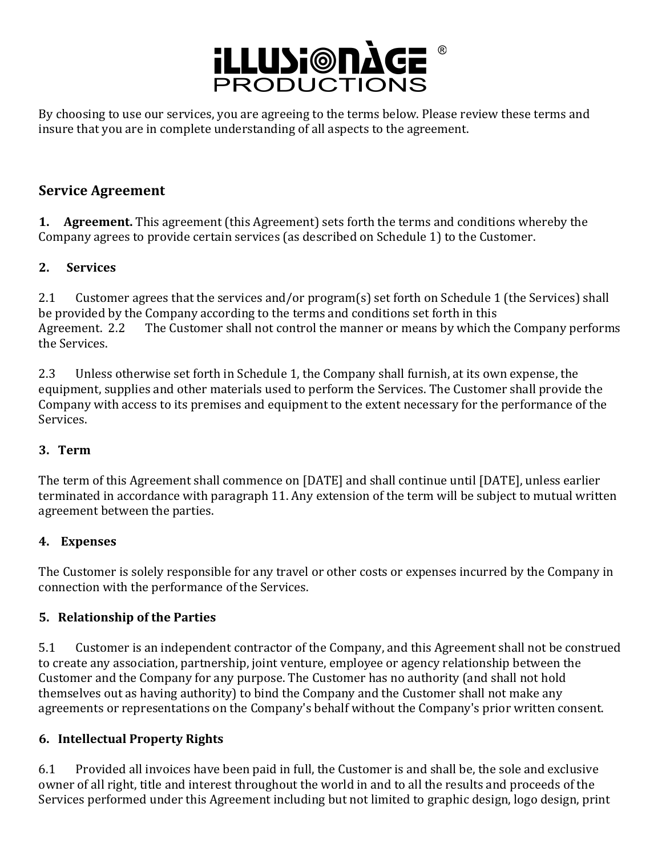

By choosing to use our services, you are agreeing to the terms below. Please review these terms and insure that you are in complete understanding of all aspects to the agreement.

## **Service Agreement**

**1. Agreement.** This agreement (this Agreement) sets forth the terms and conditions whereby the Company agrees to provide certain services (as described on Schedule 1) to the Customer.

### **2. Services**

2.1 Customer agrees that the services and/or program(s) set forth on Schedule 1 (the Services) shall be provided by the Company according to the terms and conditions set forth in this Agreement. 2.2 The Customer shall not control the manner or means by which the Company performs the Services.

2.3 Unless otherwise set forth in Schedule 1, the Company shall furnish, at its own expense, the equipment, supplies and other materials used to perform the Services. The Customer shall provide the Company with access to its premises and equipment to the extent necessary for the performance of the Services.

### **3. Term**

The term of this Agreement shall commence on [DATE] and shall continue until [DATE], unless earlier terminated in accordance with paragraph 11. Any extension of the term will be subject to mutual written agreement between the parties.

### **4. Expenses**

The Customer is solely responsible for any travel or other costs or expenses incurred by the Company in connection with the performance of the Services.

## **5. Relationship of the Parties**

5.1 Customer is an independent contractor of the Company, and this Agreement shall not be construed to create any association, partnership, joint venture, employee or agency relationship between the Customer and the Company for any purpose. The Customer has no authority (and shall not hold themselves out as having authority) to bind the Company and the Customer shall not make any agreements or representations on the Company's behalf without the Company's prior written consent.

### **6. Intellectual Property Rights**

6.1 Provided all invoices have been paid in full, the Customer is and shall be, the sole and exclusive owner of all right, title and interest throughout the world in and to all the results and proceeds of the Services performed under this Agreement including but not limited to graphic design, logo design, print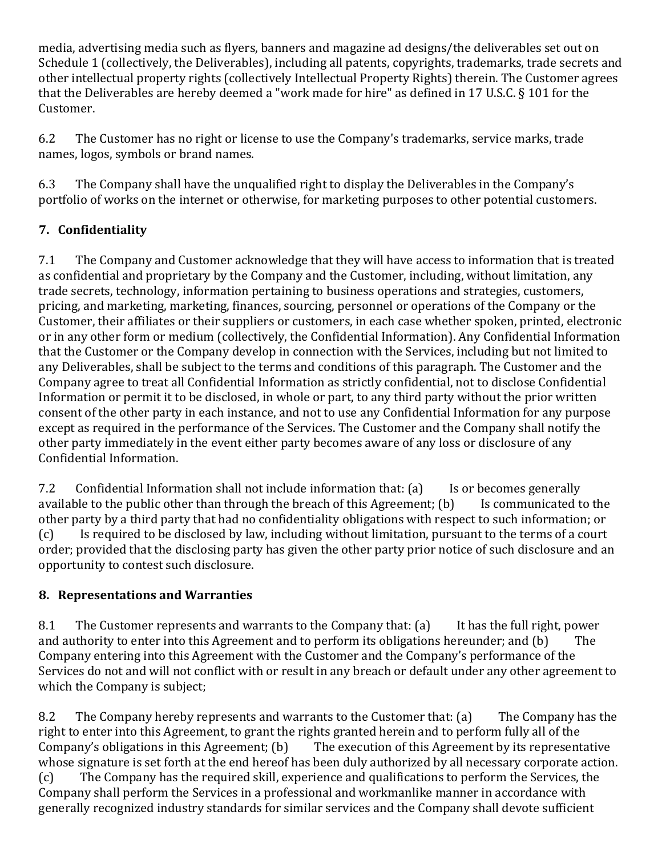media, advertising media such as flyers, banners and magazine ad designs/the deliverables set out on Schedule 1 (collectively, the Deliverables), including all patents, copyrights, trademarks, trade secrets and other intellectual property rights (collectively Intellectual Property Rights) therein. The Customer agrees that the Deliverables are hereby deemed a "work made for hire" as defined in 17 U.S.C.  $\S$  101 for the Customer.

6.2 The Customer has no right or license to use the Company's trademarks, service marks, trade names, logos, symbols or brand names.

6.3 The Company shall have the unqualified right to display the Deliverables in the Company's portfolio of works on the internet or otherwise, for marketing purposes to other potential customers.

# **7. Confidentiality**

7.1 The Company and Customer acknowledge that they will have access to information that is treated as confidential and proprietary by the Company and the Customer, including, without limitation, any trade secrets, technology, information pertaining to business operations and strategies, customers, pricing, and marketing, marketing, finances, sourcing, personnel or operations of the Company or the Customer, their affiliates or their suppliers or customers, in each case whether spoken, printed, electronic or in any other form or medium (collectively, the Confidential Information). Any Confidential Information that the Customer or the Company develop in connection with the Services, including but not limited to any Deliverables, shall be subject to the terms and conditions of this paragraph. The Customer and the Company agree to treat all Confidential Information as strictly confidential, not to disclose Confidential Information or permit it to be disclosed, in whole or part, to any third party without the prior written consent of the other party in each instance, and not to use any Confidential Information for any purpose except as required in the performance of the Services. The Customer and the Company shall notify the other party immediately in the event either party becomes aware of any loss or disclosure of any Confidential Information.

7.2 Confidential Information shall not include information that: (a) Is or becomes generally available to the public other than through the breach of this Agreement;  $(b)$  Is communicated to the other party by a third party that had no confidentiality obligations with respect to such information; or (c) Is required to be disclosed by law, including without limitation, pursuant to the terms of a court order; provided that the disclosing party has given the other party prior notice of such disclosure and an opportunity to contest such disclosure.

# **8. Representations and Warranties**

8.1 The Customer represents and warrants to the Company that: (a) It has the full right, power and authority to enter into this Agreement and to perform its obligations hereunder; and  $(b)$  The Company entering into this Agreement with the Customer and the Company's performance of the Services do not and will not conflict with or result in any breach or default under any other agreement to which the Company is subject;

8.2 The Company hereby represents and warrants to the Customer that: (a) The Company has the right to enter into this Agreement, to grant the rights granted herein and to perform fully all of the Company's obligations in this Agreement;  $(b)$  The execution of this Agreement by its representative whose signature is set forth at the end hereof has been duly authorized by all necessary corporate action. (c) The Company has the required skill, experience and qualifications to perform the Services, the Company shall perform the Services in a professional and workmanlike manner in accordance with generally recognized industry standards for similar services and the Company shall devote sufficient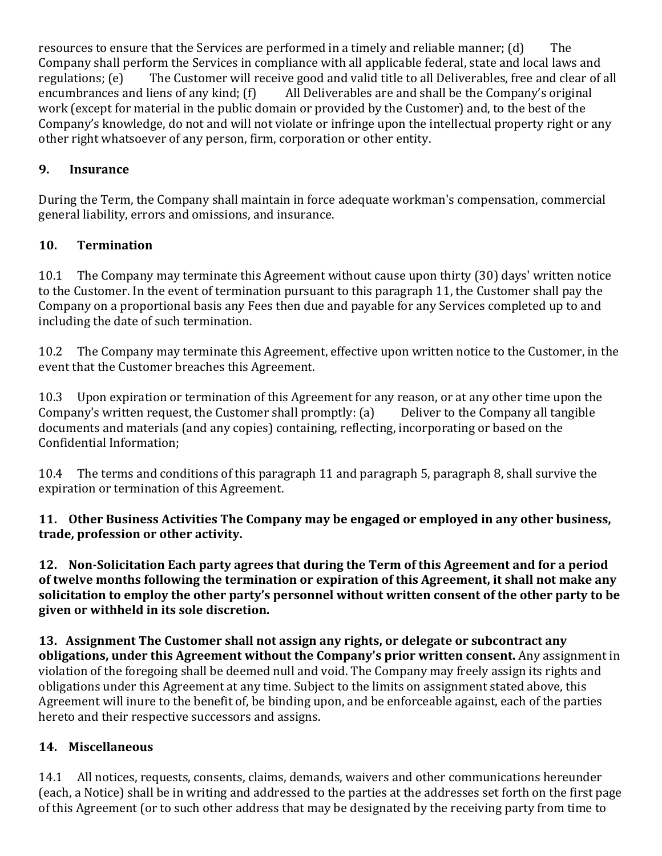resources to ensure that the Services are performed in a timely and reliable manner;  $(d)$  The Company shall perform the Services in compliance with all applicable federal, state and local laws and regulations; (e) The Customer will receive good and valid title to all Deliverables, free and clear of all encumbrances and liens of any kind;  $(f)$  All Deliverables are and shall be the Company's original work (except for material in the public domain or provided by the Customer) and, to the best of the Company's knowledge, do not and will not violate or infringe upon the intellectual property right or any other right whatsoever of any person, firm, corporation or other entity.

## **9. Insurance**

During the Term, the Company shall maintain in force adequate workman's compensation, commercial general liability, errors and omissions, and insurance.

## **10. Termination**

10.1 The Company may terminate this Agreement without cause upon thirty (30) days' written notice to the Customer. In the event of termination pursuant to this paragraph 11, the Customer shall pay the Company on a proportional basis any Fees then due and payable for any Services completed up to and including the date of such termination.

10.2 The Company may terminate this Agreement, effective upon written notice to the Customer, in the event that the Customer breaches this Agreement.

10.3 Upon expiration or termination of this Agreement for any reason, or at any other time upon the Company's written request, the Customer shall promptly:  $(a)$  Deliver to the Company all tangible documents and materials (and any copies) containing, reflecting, incorporating or based on the Confidential Information:

10.4 The terms and conditions of this paragraph 11 and paragraph 5, paragraph 8, shall survive the expiration or termination of this Agreement.

## **11.** Other Business Activities The Company may be engaged or employed in any other business, **trade, profession or other activity.**

**12.** Non-Solicitation Each party agrees that during the Term of this Agreement and for a period of twelve months following the termination or expiration of this Agreement, it shall not make any solicitation to employ the other party's personnel without written consent of the other party to be given or withheld in its sole discretion.

**13.** Assignment The Customer shall not assign any rights, or delegate or subcontract any **obligations, under this Agreement without the Company's prior written consent.** Any assignment in violation of the foregoing shall be deemed null and void. The Company may freely assign its rights and obligations under this Agreement at any time. Subject to the limits on assignment stated above, this Agreement will inure to the benefit of, be binding upon, and be enforceable against, each of the parties hereto and their respective successors and assigns.

# **14. Miscellaneous**

14.1 All notices, requests, consents, claims, demands, waivers and other communications hereunder (each, a Notice) shall be in writing and addressed to the parties at the addresses set forth on the first page of this Agreement (or to such other address that may be designated by the receiving party from time to